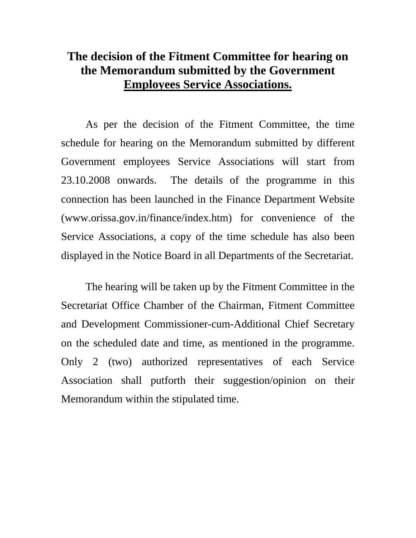## **The decision of the Fitment Committee for hearing on the Memorandum submitted by the Government Employees Service Associations.**

 As per the decision of the Fitment Committee, the time schedule for hearing on the Memorandum submitted by different Government employees Service Associations will start from 23.10.2008 onwards. The details of the programme in this connection has been launched in the Finance Department Website (www.orissa.gov.in/finance/index.htm) for convenience of the Service Associations, a copy of the time schedule has also been displayed in the Notice Board in all Departments of the Secretariat.

 The hearing will be taken up by the Fitment Committee in the Secretariat Office Chamber of the Chairman, Fitment Committee and Development Commissioner-cum-Additional Chief Secretary on the scheduled date and time, as mentioned in the programme. Only 2 (two) authorized representatives of each Service Association shall putforth their suggestion/opinion on their Memorandum within the stipulated time.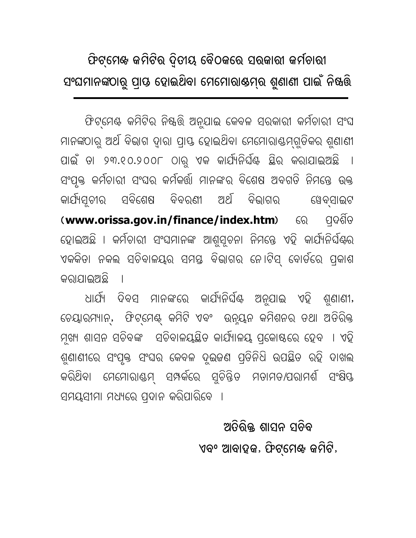## ଫିଟ୍ମେଖ କମିଟିର ଦ୍ୱିତୀୟ ବୈଠକରେ ସରକାରୀ କର୍ମଚାରୀ ସଂଘମାନଙ୍କଠାରୁ ପ୍ରାୟ ହୋଇଥିବା ମେମୋରାଷମ୍ର ଶୁଣାଣୀ ପାଇଁ ନିଷ୍କରି

ଫିଟ୍ମେଣ୍ଟ କମିଟିର ନିଷ୍କର୍ତ୍ତି ଅନୁଯାଇ କେବଳ ସରକାରୀ କର୍ମଚାରୀ ସଂଘ ମାନଙ୍କଠାରୁ ଅର୍ଥ ବିଭାଗ ଦାରା ପାୟ ହୋଇଥିବା ମେମୋରାଣ୍ଟମଗୁଡିକର ଶୁଣାଣୀ ପାଇଁ ତା ୨୩.୧୦.୨୦୦୮ ଠାରୁ ଏକ କାର୍ଯ୍ୟନିର୍ଘିଣ୍ଟ ଛିର କରାଯାଇଅଛି । ସଂପୂକ୍ତ କର୍ମଚାରୀ ସଂଘର କର୍ମକର୍ତ୍ତା ମାନଙ୍କର ବିଶେଷ ଅବଗତି ନିମନ୍ତେ ଉକ୍ତ କାର୍ଯ୍ୟତ୍ମର ସବିଶେଷ ବିବରଣୀ ଅର୍ଥ ବିଭାଗର ୱେବସାଇଟ (www.orissa.gov.in/finance/index.htm) 60 ପଦଶିତ ହୋଇଅଛି । କର୍ମଚାରୀ ସଂଘମାନଙ୍କ ଆଶୁସ୍ତନା ନିମନ୍ତେ ଏହି କାର୍ଯ୍ୟନିର୍ଘିଣ୍ଟର ଏକକିତା ନକଲ ସଚିବାଳୟର ସମସ୍ତ ବିଭାଗର ନୋଟିସ୍ ବୋର୍ଡରେ ପ୍ରକାଶ କରାଯାଇଅଛି ।

ଧାର୍ଯ୍ୟ ଦିବସ ମାନଙ୍କରେ କାର୍ଯ୍ୟନିର୍ଘିଣ୍ଟ ଅନୁଯାଇ ଏହି ଶୁଣାଣୀ, ଚେୟାରମ୍ୟାନ, ଫିଟ୍ମେଣ୍ଟ୍ କମିଟି ଏବଂ ଉନ୍ୟୁନ କମିଶନର ତଥା ଅତିରିକ୍ତ ମୂଖ୍ୟ ଶାସନ ସଚିବଙ୍କ ସଚିବାଳୟୟିତ କାର୍ଯ୍ୟାଳୟ ପ୍ରକୋଷରେ ହେବ । ଏହି ଶୁଣାଣୀରେ ସଂପୃକ୍ତ ସଂଘର କେବଳ ଦୂଇଜଣ ପ୍ତିନିଧି ଉପଛିତ ରହି ଦାଖଲ କରିଥିବା ମେମୋରାଣ୍ଡମ୍ ସମ୍ପର୍କରେ ସୁଚିନ୍ତିତ ମତାମତ/ପରାମର୍ଶ ସଂକ୍ଷିପ୍ତ ସମୟସୀମା ମଧ୍ୟରେ ପ୍ଦାନ କରିପାରିବେ ।

> ଅତିରିକ ଶାମନ ମନିବ ଏବଂ ଆବାହଜ, ଫିଟ୍ମେଝ ଜମିଟି,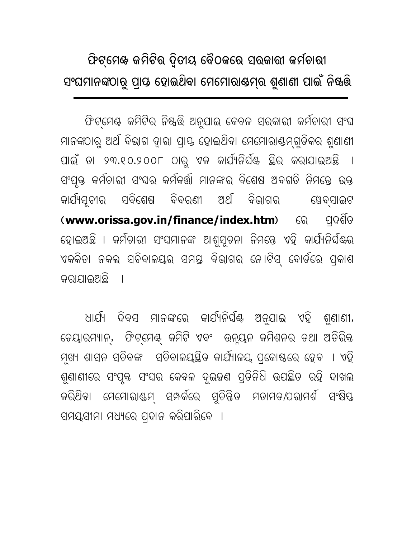## ଫିଟ୍ମେଖ୍ କମିଟିର ଦ୍ୱିତୀୟ ବୈଠକରେ ସରକାରୀ କର୍ମଚାରୀ ସଂଘମାନଙ୍କଠାରୁ ପ୍ରାୟ ହୋଇଥିବା ମେମୋରାଷମ୍ର ଶୁଣାଣୀ ପାଇଁ ନିଷ୍କରି

ଫିଟ୍ମେଣ୍ଟ କମିଟିର ନିଷ୍କର୍ତ୍ତି ଅନୁଯାଇ କେବଳ ସରକାରୀ କର୍ମଚାରୀ ସଂଘ ମାନଙ୍କଠାରୁ ଅର୍ଥ ବିଭାଗ ଦାରା ପାୟ ହୋଇଥିବା ମେମୋରାଣ୍ଟମଗୁଡିକର ଶୁଣାଣୀ ପାଇଁ ତା ୨୩.୧୦.୨୦୦୮ ଠାରୁ ଏକ କାର୍ଯ୍ୟନିର୍ଘିଣ୍ଟ ଛିର କରାଯାଇଅଛି । ସଂପୂକ୍ତ କର୍ମଚାରୀ ସଂଘର କର୍ମକର୍ତ୍ତା ମାନଙ୍କର ବିଶେଷ ଅବଗତି ନିମନ୍ତେ ଉକ୍ତ କାର୍ଯ୍ୟତ୍ମର ସବିଶେଷ ବିବରଣୀ ଅର୍ଥ ବିଭାଗର ୱେବସାଇଟ (www.orissa.gov.in/finance/index.htm) 60 ପଦଶିତ ହୋଇଅଛି । କର୍ମଚାରୀ ସଂଘମାନଙ୍କ ଆଶୁସ୍ତନା ନିମନ୍ତେ ଏହି କାର୍ଯ୍ୟନିର୍ଘିଣ୍ଟର ଏକକିତା ନକଲ ସଚିବାଳୟର ସମସ୍ତ ବିଭାଗର ନୋଟିସ୍ ବୋର୍ଡରେ ପ୍ରକାଶ କରାଯାଇଅଛି  $\mathbf{I}$ 

ଧାର୍ଯ୍ୟ ଦିବସ ମାନଙ୍କରେ କାର୍ଯ୍ୟନିର୍ଘିଣ୍ଟ ଅନୁଯାଇ ଏହି ଶୁଣାଣୀ, ଚେୟାରମ୍ୟାନ୍, ଫିଟ୍ମେଣ୍ଟ୍ କମିଟି ଏବଂ ଉନ୍ୟୁନ କମିଶନର ତଥା ଅତିରିକ୍ତ ମ଼ଖ୍ୟ ଶାସନ ସଚିବଙ୍କ ସଚିବାଳୟୟିତ କାର୍ଯ୍ୟାଳୟ ପ୍ଳୋଷ୍ଠରେ ହେବ । ଏହି ଶୁଣାଣୀରେ ସଂପୃକ୍ତ ସଂଘର କେବଳ ଦୁଇଜଣ ପ୍ରତିନିଧି ଉପଛିତ ରହି ଦାଖଲ କରିଥିବା ମେମୋରାଣ୍ଡମ୍ ସମ୍ପର୍କରେ ସୁଚିନ୍ତିତ ମତାମତ/ପରାମର୍ଶ ସଂକ୍ଷିପ୍ତ ସମୟସୀମା ମଧ୍ୟରେ ପ୍ଦାନ କରିପାରିବେ ।